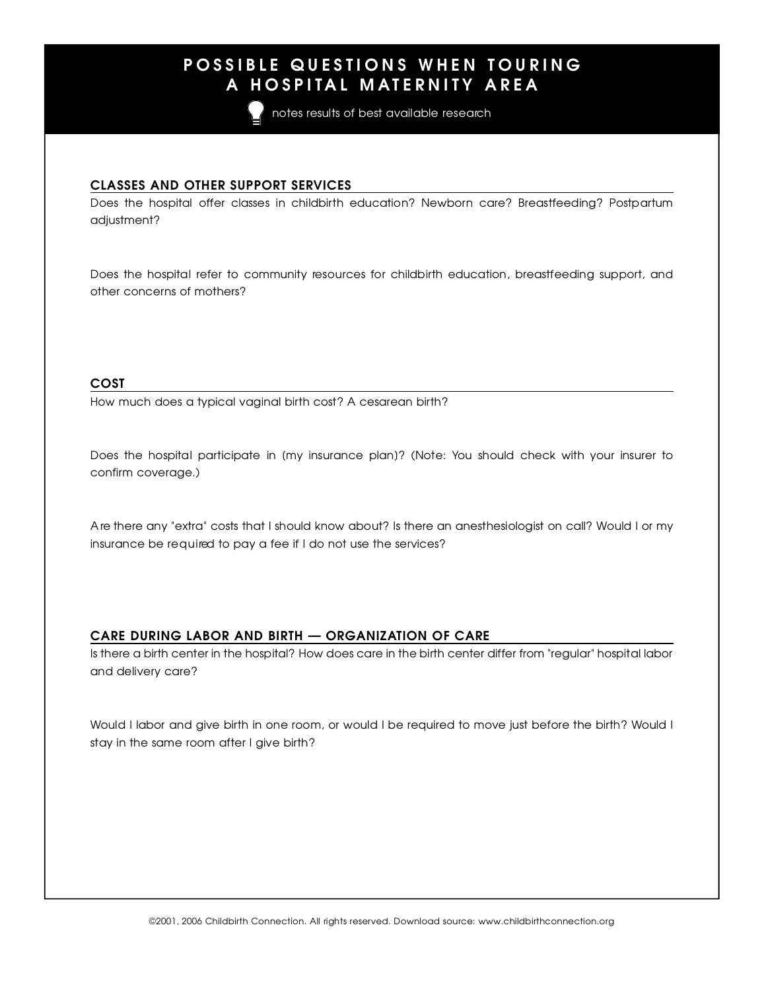# P O S S S I B L E G S E S I D E S I H E L E S O N II S U R I L E S O N II S U R I L E S U R I L E S U R I L E<br>A LIOSPITAL MATE DNITV A DE A A H O S P I HAT MANIPARTITY AND LA

notes results of best available research

<u>CLASSES AND OTHER SUPPORT SERVICES</u> Does the hospital offer classes in childbirth education? Newborn care? Breastfeeding? Postpartum adjustment?

Does the hospital refer to community resources for childbirth education, breastfeeding support, and other concerns of mothers? other concerns of mothers?

 $\frac{1}{\sqrt{2}}$ How much does a typical vaginal birth cost? A cesarean birth?

Does the hospital participate in [my insurance plan]? (Note: You should check with your insurer to confirm coverage.)

A re there any "extra" costs that I should know about? Is there an anesthesiologist on call? Would I or my insurance be required to pay a fee if I do not use the services?

CARE DURING LABOR AND BIRTH — ORGANIZATION OF CARE Is there a birth center in the hospital? How does care in the birth center differ from "regular" hospital labor and delivery care?

Would I labor and give birth in one room, or would I be required to move just before the birth? Would I stay in the same room after I give birth?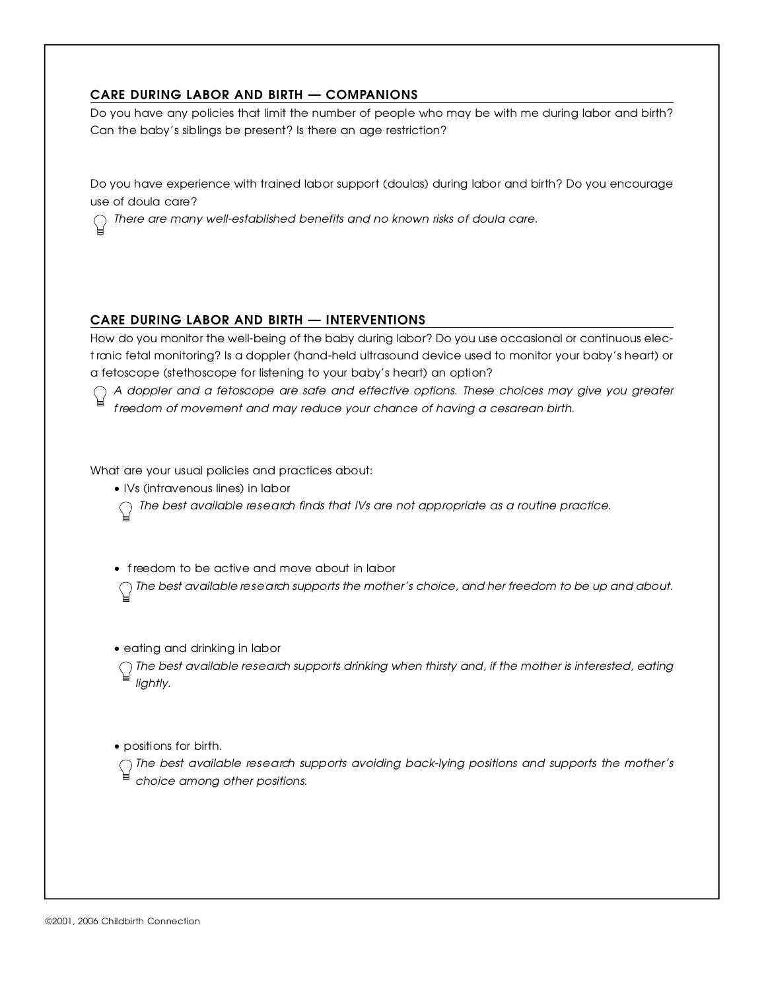<u>CARE DURING END ON THE BIRTH — COMPANIONS</u> Do you have any policies that limit the number of people who may be with me during labor and birth? Can the baby's siblings be present? Is there an age restriction?

Do you have experience with trained labor support (doulas) during labor and birth? Do you encourage

 $\frac{1}{2}$ *T h e re are many well-established benefits and no known risks of doula care .*

**CARE DURING LABOR AND BIRTH — INTERVENTIONS**<br>How do you monitor the well-being of the baby during labor? Do you use occasional or continuous elec-How do you monitor the well-being of the baby during labor? Do you use occasional or continuous elect ronic fetal monitoring? Is a doppler (hand-held ultrasound device used to monitor your baby's heart) or a fetoscope (stethoscope for listening to your baby's heart) an option?

*A doppler and a fetoscope are safe and effective options. These choices may give you gre a t e r f reedom of movement and may reduce your chance of having a cesarean birth.*

What are your usual policies and practices about:<br>• IVs (intravenous lines) in labor

- 
- $\sim$  IVs (intravenous lines) in labor *The best available re s e a rch finds that IVs are not appropriate as a routine practice.*
- $\sim$  freedom to be dont cand move about in labor

*The best available re s e a rch supports the mother's choice, and her freedom to be up and about.*

 $\sim$  earning and drinking in labor

*The best available re s e a rch supports drinking when thirsty and, if the mother is interested, eating liahtly.* 

 $\epsilon$  positions for birth.

*The best available re s e a rch supports avoiding back-lying positions and supports the mother's choice among other positions.*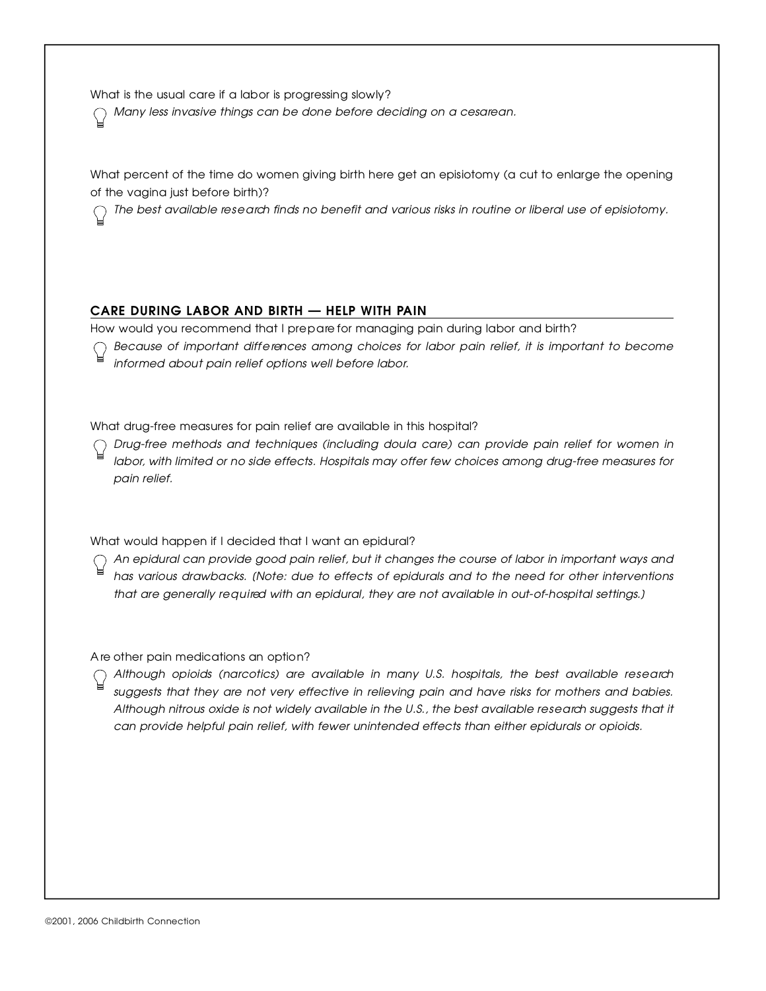What is the usual care if a labor is progressing slowly?

*Many less invasive things can be done before deciding on a cesare a n .*

What percent of the time do women giving birth here get an episiotomy (a cut to enlarge the opening<br>of the vagina just before birth)?

of the vagina just before birth)? *The best available re s e a rch finds no benefit and various risks in routine or liberal use of episiotomy.*

**CARE DURING LABOR AND BIRTH — HELP WITH PAIN**<br>How would you recommend that I prepare for managing pain during labor and birth? How would you recommend that I pre p a re for managing pain during labor and birth?

*Because of important diff e rences among choices for labor pain relief, it is important to become i n f o rmed about pain relief options well before labor.*

what drug-free measures for pain refer are available in this hospital?

*D r u g - f ree methods and techniques (including doula care) can provide pain relief for women in l a b o r, with limited or no side effects. Hospitals may offer few choices among drug-free measures for* pain relief.

What would happen if I decided that I want an epidural?

*An epidural can provide good pain relief, but it changes the course of labor in important ways and has various drawbacks. [Note: due to effects of epidurals and to the need for other interventions that are generally re q u i red with an epidural, they are not available in out-of-hospital settings.]*

A re other pain medications an option?

*Although opioids (narcotics) are available in many U.S. hospitals, the best available re s e a rch suggests that they are not very effective in relieving pain and have risks for mothers and babies. Although nitrous oxide is not widely available in the U.S., the best available re s e a rch suggests that it can provide helpful pain relief, with fewer unintended effects than either epidurals or opioids.*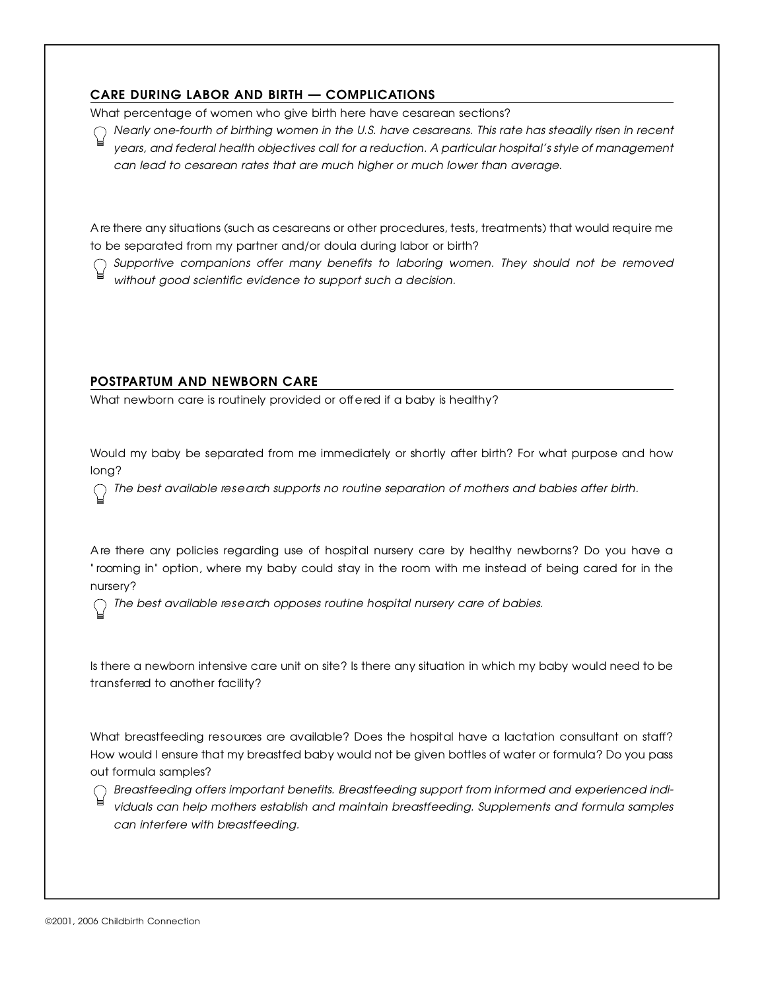**CARE DURING LABOR AND BIRTH — COMPLICATIONS**<br>What percentage of women who give birth here have cesarean sections? What percentage of women who give birth here have cesarean sections?

*Nearly one-fourth of birthing women in the U.S. have cesareans. This rate has steadily risen in re c e n t years, and federal health objectives call for a reduction. A particular hospital's style of management can lead to cesarean rates that are much higher or much lower than average.*

A re there any situations (such as cesareans or other procedures, tests, treatments) that would require me<br>to be separated from my partner and/or doula during labor or birth?

 $\bigcap$  Supportive companions offer many benefits to laboring women. They should not be removed *Supportive companions offer many benefits to laboring women. They should not be removed without good scientific evidence to support such a decision.*

 $\frac{P}{P}$  . The state and the state of  $P$ What newborn care is routinely provided or off effects if a baby is healthy?

Would my baby be separated from me immediately or shortly after birth? For what purpose and how<br>long?

. ی. . .<br>. – *The best available re s e a rch supports no routine separation of mothers and babies after birth.*

A re there any policies regulating use of hospital nursery care by healthy newborns? Do you have a " rooming in" option, where my baby could stay in the room with me instead of being cared for in the

 $rac{1}{2}$   $rac{1}{2}$   $rac{1}{2}$ *The best available re s e a rch opposes routine hospital nursery care of babies.*

Is there a newborn intensive care unit on site? Is there any situation in which my baby would need to be transferred to another facility?

What breastfeeding researces are available? Does the hospital have a lactation consultant on staff ? How would I ensure that my breastfed baby would not be given bottles of water or formula? Do you pass out formula samples?<br>( ) Breastfeeding offers important benefits. Breastfeeding support from informed and experienced indi-

*B reastfeeding offers important benefits. Breastfeeding support from informed and experienced individuals can help mothers establish and maintain breastfeeding. Supplements and formula samples can interfere with breastfeeding.*